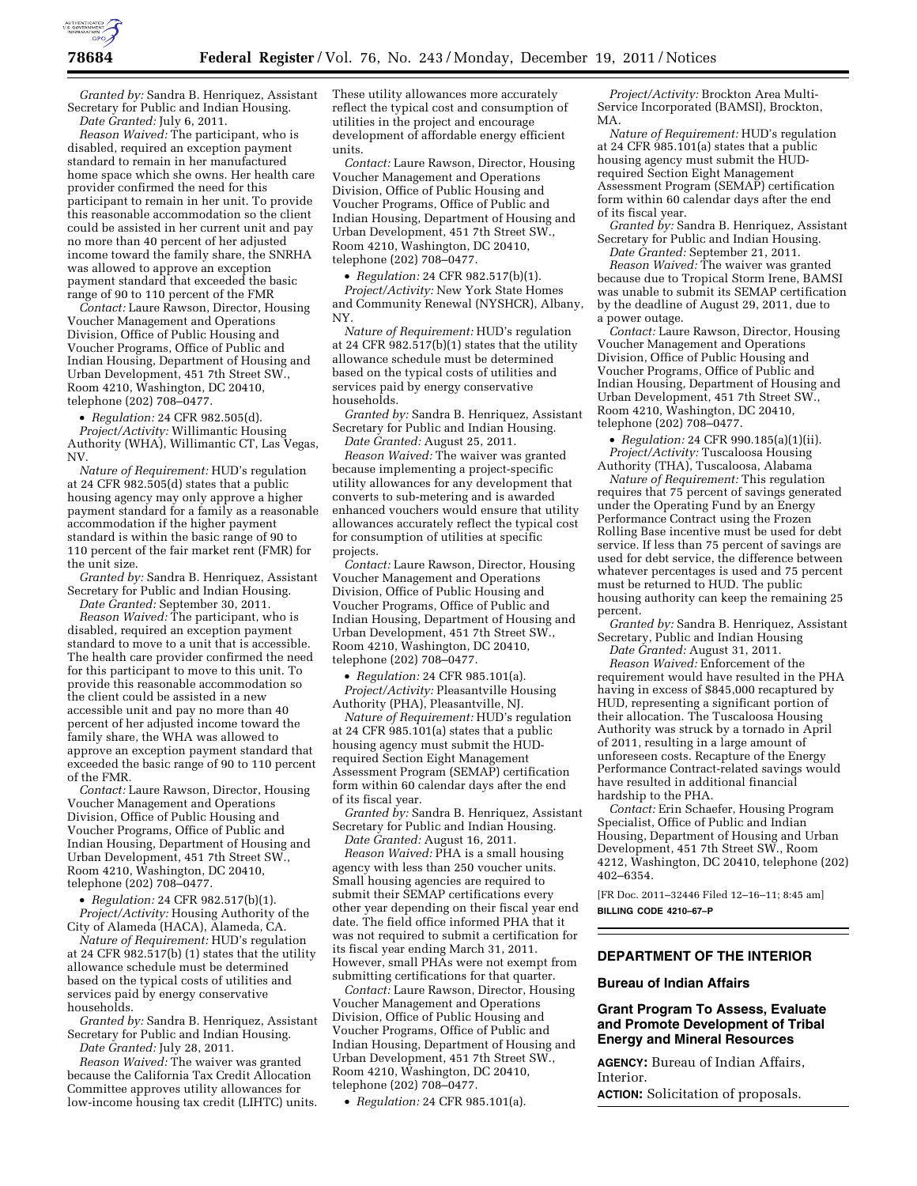

*Granted by:* Sandra B. Henriquez, Assistant Secretary for Public and Indian Housing. *Date Granted:* July 6, 2011.

*Reason Waived:* The participant, who is disabled, required an exception payment standard to remain in her manufactured home space which she owns. Her health care provider confirmed the need for this participant to remain in her unit. To provide this reasonable accommodation so the client could be assisted in her current unit and pay no more than 40 percent of her adjusted income toward the family share, the SNRHA was allowed to approve an exception payment standard that exceeded the basic range of 90 to 110 percent of the FMR

*Contact:* Laure Rawson, Director, Housing Voucher Management and Operations Division, Office of Public Housing and Voucher Programs, Office of Public and Indian Housing, Department of Housing and Urban Development, 451 7th Street SW., Room 4210, Washington, DC 20410, telephone (202) 708–0477.

• *Regulation:* 24 CFR 982.505(d).

*Project/Activity:* Willimantic Housing Authority (WHA), Willimantic CT, Las Vegas, NV.

*Nature of Requirement:* HUD's regulation at 24 CFR 982.505(d) states that a public housing agency may only approve a higher payment standard for a family as a reasonable accommodation if the higher payment standard is within the basic range of 90 to 110 percent of the fair market rent (FMR) for the unit size.

*Granted by:* Sandra B. Henriquez, Assistant Secretary for Public and Indian Housing. *Date Granted:* September 30, 2011.

*Reason Waived:* The participant, who is disabled, required an exception payment standard to move to a unit that is accessible. The health care provider confirmed the need for this participant to move to this unit. To provide this reasonable accommodation so the client could be assisted in a new accessible unit and pay no more than 40 percent of her adjusted income toward the family share, the WHA was allowed to approve an exception payment standard that exceeded the basic range of 90 to 110 percent of the FMR.

*Contact:* Laure Rawson, Director, Housing Voucher Management and Operations Division, Office of Public Housing and Voucher Programs, Office of Public and Indian Housing, Department of Housing and Urban Development, 451 7th Street SW., Room 4210, Washington, DC 20410, telephone (202) 708–0477.

• *Regulation:* 24 CFR 982.517(b)(1). *Project/Activity:* Housing Authority of the City of Alameda (HACA), Alameda, CA.

*Nature of Requirement:* HUD's regulation at 24 CFR 982.517(b) (1) states that the utility allowance schedule must be determined based on the typical costs of utilities and services paid by energy conservative households.

*Granted by:* Sandra B. Henriquez, Assistant Secretary for Public and Indian Housing. *Date Granted:* July 28, 2011.

*Reason Waived:* The waiver was granted because the California Tax Credit Allocation Committee approves utility allowances for low-income housing tax credit (LIHTC) units. These utility allowances more accurately reflect the typical cost and consumption of utilities in the project and encourage development of affordable energy efficient units.

*Contact:* Laure Rawson, Director, Housing Voucher Management and Operations Division, Office of Public Housing and Voucher Programs, Office of Public and Indian Housing, Department of Housing and Urban Development, 451 7th Street SW., Room 4210, Washington, DC 20410, telephone (202) 708–0477.

• *Regulation:* 24 CFR 982.517(b)(1). *Project/Activity:* New York State Homes and Community Renewal (NYSHCR), Albany, NY.

*Nature of Requirement:* HUD's regulation at 24 CFR 982.517(b)(1) states that the utility allowance schedule must be determined based on the typical costs of utilities and services paid by energy conservative households.

*Granted by:* Sandra B. Henriquez, Assistant Secretary for Public and Indian Housing.

*Date Granted:* August 25, 2011.

*Reason Waived:* The waiver was granted because implementing a project-specific utility allowances for any development that converts to sub-metering and is awarded enhanced vouchers would ensure that utility allowances accurately reflect the typical cost for consumption of utilities at specific projects.

*Contact:* Laure Rawson, Director, Housing Voucher Management and Operations Division, Office of Public Housing and Voucher Programs, Office of Public and Indian Housing, Department of Housing and Urban Development, 451 7th Street SW., Room 4210, Washington, DC 20410, telephone (202) 708–0477.

• *Regulation:* 24 CFR 985.101(a). *Project/Activity:* Pleasantville Housing Authority (PHA), Pleasantville, NJ.

*Nature of Requirement:* HUD's regulation at 24 CFR 985.101(a) states that a public housing agency must submit the HUDrequired Section Eight Management Assessment Program (SEMAP) certification form within 60 calendar days after the end of its fiscal year.

*Granted by:* Sandra B. Henriquez, Assistant Secretary for Public and Indian Housing.

*Date Granted:* August 16, 2011.

*Reason Waived:* PHA is a small housing agency with less than 250 voucher units. Small housing agencies are required to submit their SEMAP certifications every other year depending on their fiscal year end date. The field office informed PHA that it was not required to submit a certification for its fiscal year ending March 31, 2011. However, small PHAs were not exempt from submitting certifications for that quarter.

*Contact:* Laure Rawson, Director, Housing Voucher Management and Operations Division, Office of Public Housing and Voucher Programs, Office of Public and Indian Housing, Department of Housing and Urban Development, 451 7th Street SW., Room 4210, Washington, DC 20410, telephone (202) 708–0477.

• *Regulation:* 24 CFR 985.101(a).

*Project/Activity:* Brockton Area Multi-Service Incorporated (BAMSI), Brockton, MA.

*Nature of Requirement:* HUD's regulation at 24 CFR 985.101(a) states that a public housing agency must submit the HUDrequired Section Eight Management Assessment Program (SEMAP) certification form within 60 calendar days after the end of its fiscal year.

*Granted by:* Sandra B. Henriquez, Assistant Secretary for Public and Indian Housing. *Date Granted:* September 21, 2011.

*Reason Waived:* The waiver was granted because due to Tropical Storm Irene, BAMSI was unable to submit its SEMAP certification by the deadline of August 29, 2011, due to a power outage.

*Contact:* Laure Rawson, Director, Housing Voucher Management and Operations Division, Office of Public Housing and Voucher Programs, Office of Public and Indian Housing, Department of Housing and Urban Development, 451 7th Street SW., Room 4210, Washington, DC 20410, telephone (202) 708–0477.

• *Regulation:* 24 CFR 990.185(a)(1)(ii). *Project/Activity:* Tuscaloosa Housing Authority (THA), Tuscaloosa, Alabama

*Nature of Requirement:* This regulation requires that 75 percent of savings generated under the Operating Fund by an Energy Performance Contract using the Frozen Rolling Base incentive must be used for debt service. If less than 75 percent of savings are used for debt service, the difference between whatever percentages is used and 75 percent must be returned to HUD. The public housing authority can keep the remaining 25 percent.

*Granted by:* Sandra B. Henriquez, Assistant Secretary, Public and Indian Housing

*Date Granted:* August 31, 2011.

*Reason Waived:* Enforcement of the requirement would have resulted in the PHA having in excess of \$845,000 recaptured by HUD, representing a significant portion of their allocation. The Tuscaloosa Housing Authority was struck by a tornado in April of 2011, resulting in a large amount of unforeseen costs. Recapture of the Energy Performance Contract-related savings would have resulted in additional financial hardship to the PHA.

*Contact:* Erin Schaefer, Housing Program Specialist, Office of Public and Indian Housing, Department of Housing and Urban Development, 451 7th Street SW., Room 4212, Washington, DC 20410, telephone (202) 402–6354.

[FR Doc. 2011–32446 Filed 12–16–11; 8:45 am] **BILLING CODE 4210–67–P** 

### **DEPARTMENT OF THE INTERIOR**

#### **Bureau of Indian Affairs**

# **Grant Program To Assess, Evaluate and Promote Development of Tribal Energy and Mineral Resources**

**AGENCY:** Bureau of Indian Affairs, Interior.

**ACTION:** Solicitation of proposals.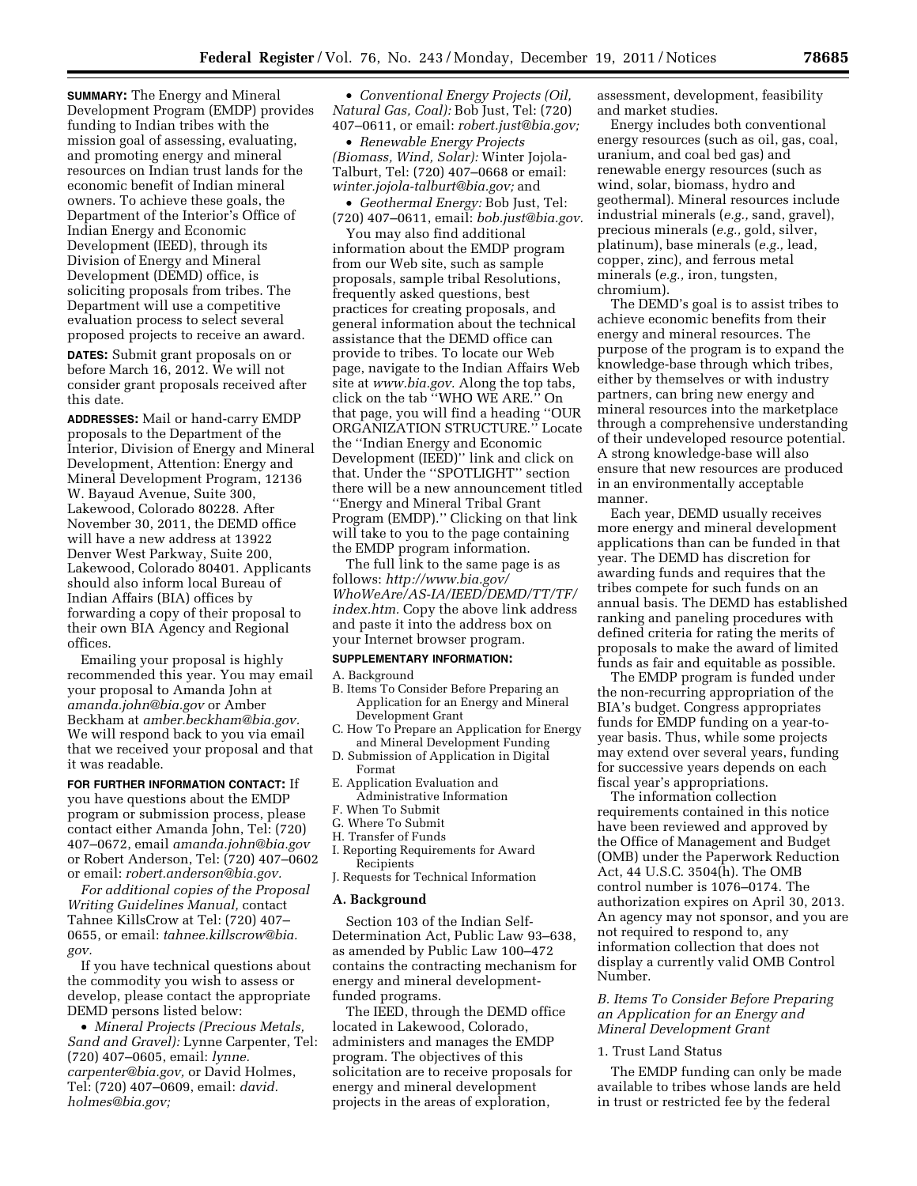**SUMMARY:** The Energy and Mineral Development Program (EMDP) provides funding to Indian tribes with the mission goal of assessing, evaluating, and promoting energy and mineral resources on Indian trust lands for the economic benefit of Indian mineral owners. To achieve these goals, the Department of the Interior's Office of Indian Energy and Economic Development (IEED), through its Division of Energy and Mineral Development (DEMD) office, is soliciting proposals from tribes. The Department will use a competitive evaluation process to select several proposed projects to receive an award.

**DATES:** Submit grant proposals on or before March 16, 2012. We will not consider grant proposals received after this date.

**ADDRESSES:** Mail or hand-carry EMDP proposals to the Department of the Interior, Division of Energy and Mineral Development, Attention: Energy and Mineral Development Program, 12136 W. Bayaud Avenue, Suite 300, Lakewood, Colorado 80228. After November 30, 2011, the DEMD office will have a new address at 13922 Denver West Parkway, Suite 200, Lakewood, Colorado 80401. Applicants should also inform local Bureau of Indian Affairs (BIA) offices by forwarding a copy of their proposal to their own BIA Agency and Regional offices.

Emailing your proposal is highly recommended this year. You may email your proposal to Amanda John at *[amanda.john@bia.gov](mailto:amanda.john@bia.gov)* or Amber Beckham at *[amber.beckham@bia.gov.](mailto:amber.beckham@bia.gov)*  We will respond back to you via email that we received your proposal and that it was readable.

**FOR FURTHER INFORMATION CONTACT:** If you have questions about the EMDP program or submission process, please contact either Amanda John, Tel: (720) 407–0672, email *[amanda.john@bia.gov](mailto:amanda.john@bia.gov)*  or Robert Anderson, Tel: (720) 407–0602 or email: *[robert.anderson@bia.gov.](mailto:robert.anderson@bia.gov)* 

*For additional copies of the Proposal Writing Guidelines Manual,* contact Tahnee KillsCrow at Tel: (720) 407– 0655, or email: *[tahnee.killscrow@bia.](mailto:tahnee.killscrow@bia.gov) [gov.](mailto:tahnee.killscrow@bia.gov)* 

If you have technical questions about the commodity you wish to assess or develop, please contact the appropriate DEMD persons listed below:

• *Mineral Projects (Precious Metals, Sand and Gravel):* Lynne Carpenter, Tel: (720) 407–0605, email: *[lynne.](mailto:lynne.carpenter@bia.gov) [carpenter@bia.gov,](mailto:lynne.carpenter@bia.gov)* or David Holmes, Tel: (720) 407–0609, email: *[david.](mailto:david.holmes@bia.gov) [holmes@bia.gov;](mailto:david.holmes@bia.gov)* 

• *Conventional Energy Projects (Oil, Natural Gas, Coal):* Bob Just, Tel: (720) 407–0611, or email: *[robert.just@bia.gov;](mailto:robert.just@bia.gov)* 

• *Renewable Energy Projects (Biomass, Wind, Solar):* Winter Jojola-Talburt, Tel: (720) 407–0668 or email: *[winter.jojola-talburt@bia.gov;](mailto:winter.jojola-talburt@bia.gov)* and

• *Geothermal Energy:* Bob Just, Tel: (720) 407–0611, email: *[bob.just@bia.gov.](mailto:bob.just@bia.gov)* 

You may also find additional information about the EMDP program from our Web site, such as sample proposals, sample tribal Resolutions, frequently asked questions, best practices for creating proposals, and general information about the technical assistance that the DEMD office can provide to tribes. To locate our Web page, navigate to the Indian Affairs Web site at *[www.bia.gov.](http://www.bia.gov)* Along the top tabs, click on the tab ''WHO WE ARE.'' On that page, you will find a heading ''OUR ORGANIZATION STRUCTURE.'' Locate the ''Indian Energy and Economic Development (IEED)'' link and click on that. Under the ''SPOTLIGHT'' section there will be a new announcement titled ''Energy and Mineral Tribal Grant Program (EMDP).'' Clicking on that link will take to you to the page containing the EMDP program information.

The full link to the same page is as follows: *[http://www.bia.gov/](http://www.bia.gov/WhoWeAre/AS-IA/IEED/DEMD/TT/TF/index.htm) [WhoWeAre/AS-IA/IEED/DEMD/TT/TF/](http://www.bia.gov/WhoWeAre/AS-IA/IEED/DEMD/TT/TF/index.htm) [index.htm.](http://www.bia.gov/WhoWeAre/AS-IA/IEED/DEMD/TT/TF/index.htm)* Copy the above link address and paste it into the address box on your Internet browser program.

#### **SUPPLEMENTARY INFORMATION:**

A. Background

- B. Items To Consider Before Preparing an Application for an Energy and Mineral Development Grant
- C. How To Prepare an Application for Energy and Mineral Development Funding
- D. Submission of Application in Digital Format
- E. Application Evaluation and Administrative Information
- F. When To Submit
- G. Where To Submit
- H. Transfer of Funds
- I. Reporting Requirements for Award Recipients
- J. Requests for Technical Information

#### **A. Background**

Section 103 of the Indian Self-Determination Act, Public Law 93–638, as amended by Public Law 100–472 contains the contracting mechanism for energy and mineral developmentfunded programs.

The IEED, through the DEMD office located in Lakewood, Colorado, administers and manages the EMDP program. The objectives of this solicitation are to receive proposals for energy and mineral development projects in the areas of exploration,

assessment, development, feasibility and market studies.

Energy includes both conventional energy resources (such as oil, gas, coal, uranium, and coal bed gas) and renewable energy resources (such as wind, solar, biomass, hydro and geothermal). Mineral resources include industrial minerals (*e.g.,* sand, gravel), precious minerals (*e.g.,* gold, silver, platinum), base minerals (*e.g.,* lead, copper, zinc), and ferrous metal minerals (*e.g.,* iron, tungsten, chromium).

The DEMD's goal is to assist tribes to achieve economic benefits from their energy and mineral resources. The purpose of the program is to expand the knowledge-base through which tribes, either by themselves or with industry partners, can bring new energy and mineral resources into the marketplace through a comprehensive understanding of their undeveloped resource potential. A strong knowledge-base will also ensure that new resources are produced in an environmentally acceptable manner.

Each year, DEMD usually receives more energy and mineral development applications than can be funded in that year. The DEMD has discretion for awarding funds and requires that the tribes compete for such funds on an annual basis. The DEMD has established ranking and paneling procedures with defined criteria for rating the merits of proposals to make the award of limited funds as fair and equitable as possible.

The EMDP program is funded under the non-recurring appropriation of the BIA's budget. Congress appropriates funds for EMDP funding on a year-toyear basis. Thus, while some projects may extend over several years, funding for successive years depends on each fiscal year's appropriations.

The information collection requirements contained in this notice have been reviewed and approved by the Office of Management and Budget (OMB) under the Paperwork Reduction Act, 44 U.S.C. 3504(h). The OMB control number is 1076–0174. The authorization expires on April 30, 2013. An agency may not sponsor, and you are not required to respond to, any information collection that does not display a currently valid OMB Control Number.

# *B. Items To Consider Before Preparing an Application for an Energy and Mineral Development Grant*

### 1. Trust Land Status

The EMDP funding can only be made available to tribes whose lands are held in trust or restricted fee by the federal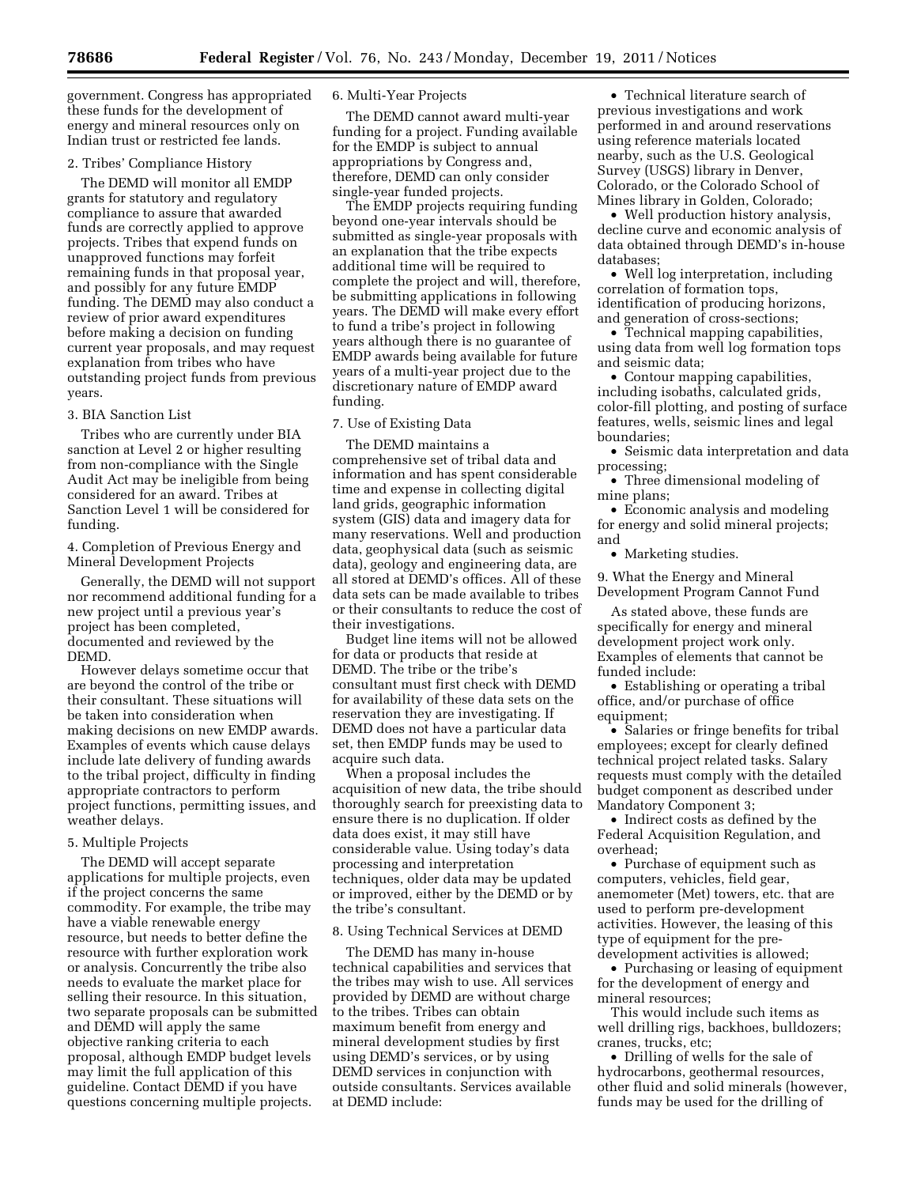government. Congress has appropriated these funds for the development of energy and mineral resources only on Indian trust or restricted fee lands.

#### 2. Tribes' Compliance History

The DEMD will monitor all EMDP grants for statutory and regulatory compliance to assure that awarded funds are correctly applied to approve projects. Tribes that expend funds on unapproved functions may forfeit remaining funds in that proposal year, and possibly for any future EMDP funding. The DEMD may also conduct a review of prior award expenditures before making a decision on funding current year proposals, and may request explanation from tribes who have outstanding project funds from previous years.

## 3. BIA Sanction List

Tribes who are currently under BIA sanction at Level 2 or higher resulting from non-compliance with the Single Audit Act may be ineligible from being considered for an award. Tribes at Sanction Level 1 will be considered for funding.

4. Completion of Previous Energy and Mineral Development Projects

Generally, the DEMD will not support nor recommend additional funding for a new project until a previous year's project has been completed, documented and reviewed by the DEMD.

However delays sometime occur that are beyond the control of the tribe or their consultant. These situations will be taken into consideration when making decisions on new EMDP awards. Examples of events which cause delays include late delivery of funding awards to the tribal project, difficulty in finding appropriate contractors to perform project functions, permitting issues, and weather delays.

### 5. Multiple Projects

The DEMD will accept separate applications for multiple projects, even if the project concerns the same commodity. For example, the tribe may have a viable renewable energy resource, but needs to better define the resource with further exploration work or analysis. Concurrently the tribe also needs to evaluate the market place for selling their resource. In this situation, two separate proposals can be submitted and DEMD will apply the same objective ranking criteria to each proposal, although EMDP budget levels may limit the full application of this guideline. Contact DEMD if you have questions concerning multiple projects.

#### 6. Multi-Year Projects

The DEMD cannot award multi-year funding for a project. Funding available for the EMDP is subject to annual appropriations by Congress and, therefore, DEMD can only consider single-year funded projects.

The EMDP projects requiring funding beyond one-year intervals should be submitted as single-year proposals with an explanation that the tribe expects additional time will be required to complete the project and will, therefore, be submitting applications in following years. The DEMD will make every effort to fund a tribe's project in following years although there is no guarantee of EMDP awards being available for future years of a multi-year project due to the discretionary nature of EMDP award funding.

### 7. Use of Existing Data

The DEMD maintains a comprehensive set of tribal data and information and has spent considerable time and expense in collecting digital land grids, geographic information system (GIS) data and imagery data for many reservations. Well and production data, geophysical data (such as seismic data), geology and engineering data, are all stored at DEMD's offices. All of these data sets can be made available to tribes or their consultants to reduce the cost of their investigations.

Budget line items will not be allowed for data or products that reside at DEMD. The tribe or the tribe's consultant must first check with DEMD for availability of these data sets on the reservation they are investigating. If DEMD does not have a particular data set, then EMDP funds may be used to acquire such data.

When a proposal includes the acquisition of new data, the tribe should thoroughly search for preexisting data to ensure there is no duplication. If older data does exist, it may still have considerable value. Using today's data processing and interpretation techniques, older data may be updated or improved, either by the DEMD or by the tribe's consultant.

#### 8. Using Technical Services at DEMD

The DEMD has many in-house technical capabilities and services that the tribes may wish to use. All services provided by DEMD are without charge to the tribes. Tribes can obtain maximum benefit from energy and mineral development studies by first using DEMD's services, or by using DEMD services in conjunction with outside consultants. Services available at DEMD include:

• Technical literature search of previous investigations and work performed in and around reservations using reference materials located nearby, such as the U.S. Geological Survey (USGS) library in Denver, Colorado, or the Colorado School of Mines library in Golden, Colorado;

• Well production history analysis, decline curve and economic analysis of data obtained through DEMD's in-house databases;

• Well log interpretation, including correlation of formation tops, identification of producing horizons, and generation of cross-sections;

• Technical mapping capabilities, using data from well log formation tops and seismic data;

• Contour mapping capabilities, including isobaths, calculated grids, color-fill plotting, and posting of surface features, wells, seismic lines and legal boundaries;

• Seismic data interpretation and data processing;

• Three dimensional modeling of mine plans;

• Economic analysis and modeling for energy and solid mineral projects; and

• Marketing studies.

9. What the Energy and Mineral Development Program Cannot Fund

As stated above, these funds are specifically for energy and mineral development project work only. Examples of elements that cannot be funded include:

• Establishing or operating a tribal office, and/or purchase of office equipment;

• Salaries or fringe benefits for tribal employees; except for clearly defined technical project related tasks. Salary requests must comply with the detailed budget component as described under Mandatory Component 3;

• Indirect costs as defined by the Federal Acquisition Regulation, and overhead;

• Purchase of equipment such as computers, vehicles, field gear, anemometer (Met) towers, etc. that are used to perform pre-development activities. However, the leasing of this type of equipment for the predevelopment activities is allowed;

• Purchasing or leasing of equipment for the development of energy and mineral resources;

This would include such items as well drilling rigs, backhoes, bulldozers; cranes, trucks, etc;

• Drilling of wells for the sale of hydrocarbons, geothermal resources, other fluid and solid minerals (however, funds may be used for the drilling of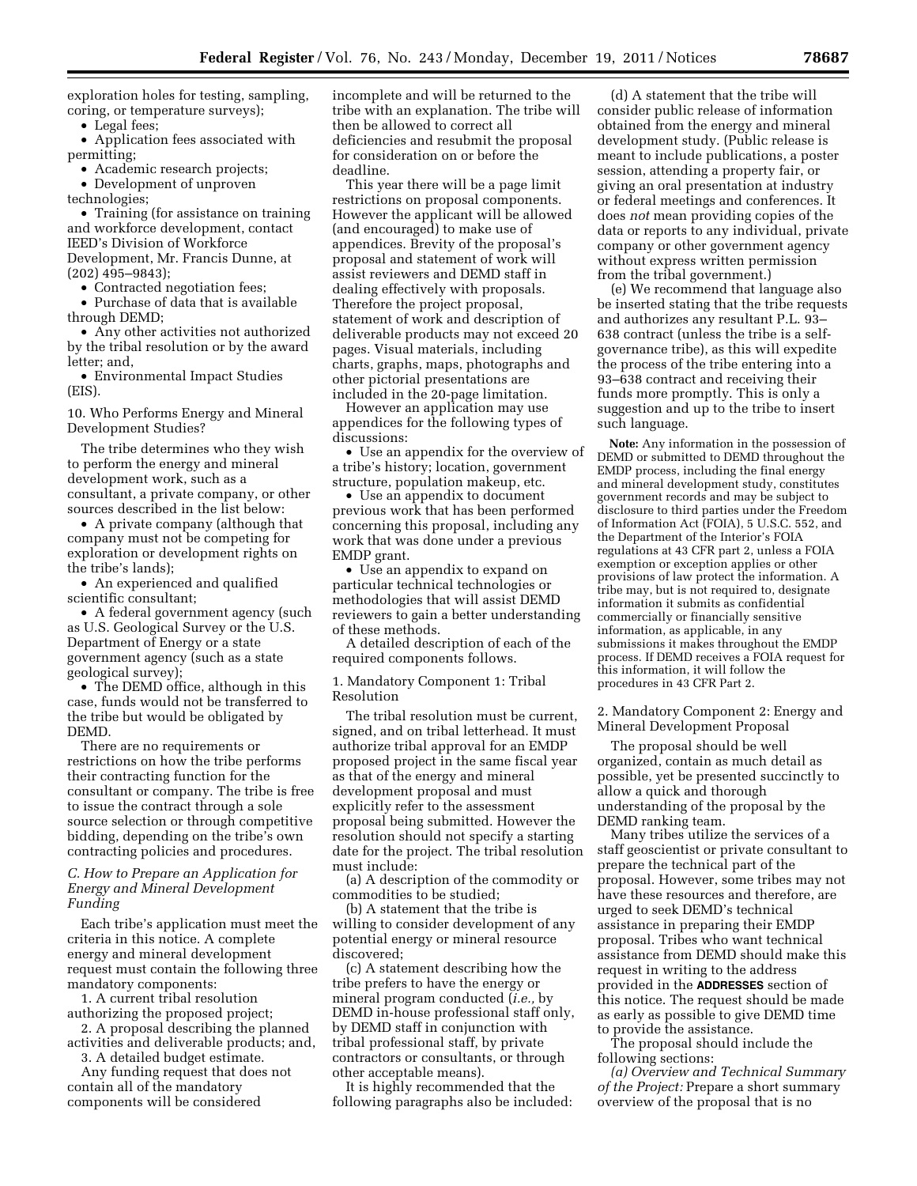exploration holes for testing, sampling, coring, or temperature surveys);

• Legal fees;

• Application fees associated with permitting;

• Academic research projects;

• Development of unproven

technologies;

• Training (for assistance on training and workforce development, contact IEED's Division of Workforce Development, Mr. Francis Dunne, at (202) 495–9843);

• Contracted negotiation fees;

• Purchase of data that is available through DEMD;

• Any other activities not authorized by the tribal resolution or by the award letter; and,

• Environmental Impact Studies (EIS).

10. Who Performs Energy and Mineral Development Studies?

The tribe determines who they wish to perform the energy and mineral development work, such as a consultant, a private company, or other sources described in the list below:

• A private company (although that company must not be competing for exploration or development rights on the tribe's lands);

• An experienced and qualified scientific consultant;

• A federal government agency (such as U.S. Geological Survey or the U.S. Department of Energy or a state government agency (such as a state geological survey);

• The DEMD office, although in this case, funds would not be transferred to the tribe but would be obligated by DEMD.

There are no requirements or restrictions on how the tribe performs their contracting function for the consultant or company. The tribe is free to issue the contract through a sole source selection or through competitive bidding, depending on the tribe's own contracting policies and procedures.

## *C. How to Prepare an Application for Energy and Mineral Development Funding*

Each tribe's application must meet the criteria in this notice. A complete energy and mineral development request must contain the following three mandatory components:

1. A current tribal resolution authorizing the proposed project;

2. A proposal describing the planned activities and deliverable products; and,

3. A detailed budget estimate. Any funding request that does not

contain all of the mandatory components will be considered incomplete and will be returned to the tribe with an explanation. The tribe will then be allowed to correct all deficiencies and resubmit the proposal for consideration on or before the deadline.

This year there will be a page limit restrictions on proposal components. However the applicant will be allowed (and encouraged) to make use of appendices. Brevity of the proposal's proposal and statement of work will assist reviewers and DEMD staff in dealing effectively with proposals. Therefore the project proposal, statement of work and description of deliverable products may not exceed 20 pages. Visual materials, including charts, graphs, maps, photographs and other pictorial presentations are included in the 20-page limitation.

However an application may use appendices for the following types of discussions:

• Use an appendix for the overview of a tribe's history; location, government structure, population makeup, etc.

• Use an appendix to document previous work that has been performed concerning this proposal, including any work that was done under a previous EMDP grant.

• Use an appendix to expand on particular technical technologies or methodologies that will assist DEMD reviewers to gain a better understanding of these methods.

A detailed description of each of the required components follows.

1. Mandatory Component 1: Tribal Resolution

The tribal resolution must be current, signed, and on tribal letterhead. It must authorize tribal approval for an EMDP proposed project in the same fiscal year as that of the energy and mineral development proposal and must explicitly refer to the assessment proposal being submitted. However the resolution should not specify a starting date for the project. The tribal resolution must include:

(a) A description of the commodity or commodities to be studied;

(b) A statement that the tribe is willing to consider development of any potential energy or mineral resource discovered;

(c) A statement describing how the tribe prefers to have the energy or mineral program conducted (*i.e.,* by DEMD in-house professional staff only, by DEMD staff in conjunction with tribal professional staff, by private contractors or consultants, or through other acceptable means).

It is highly recommended that the following paragraphs also be included:

(d) A statement that the tribe will consider public release of information obtained from the energy and mineral development study. (Public release is meant to include publications, a poster session, attending a property fair, or giving an oral presentation at industry or federal meetings and conferences. It does *not* mean providing copies of the data or reports to any individual, private company or other government agency without express written permission from the tribal government.)

(e) We recommend that language also be inserted stating that the tribe requests and authorizes any resultant P.L. 93– 638 contract (unless the tribe is a selfgovernance tribe), as this will expedite the process of the tribe entering into a 93–638 contract and receiving their funds more promptly. This is only a suggestion and up to the tribe to insert such language.

**Note:** Any information in the possession of DEMD or submitted to DEMD throughout the EMDP process, including the final energy and mineral development study, constitutes government records and may be subject to disclosure to third parties under the Freedom of Information Act (FOIA), 5 U.S.C. 552, and the Department of the Interior's FOIA regulations at 43 CFR part 2, unless a FOIA exemption or exception applies or other provisions of law protect the information. A tribe may, but is not required to, designate information it submits as confidential commercially or financially sensitive information, as applicable, in any submissions it makes throughout the EMDP process. If DEMD receives a FOIA request for this information, it will follow the procedures in 43 CFR Part 2.

2. Mandatory Component 2: Energy and Mineral Development Proposal

The proposal should be well organized, contain as much detail as possible, yet be presented succinctly to allow a quick and thorough understanding of the proposal by the DEMD ranking team.

Many tribes utilize the services of a staff geoscientist or private consultant to prepare the technical part of the proposal. However, some tribes may not have these resources and therefore, are urged to seek DEMD's technical assistance in preparing their EMDP proposal. Tribes who want technical assistance from DEMD should make this request in writing to the address provided in the **ADDRESSES** section of this notice. The request should be made as early as possible to give DEMD time to provide the assistance.

The proposal should include the following sections:

*(a) Overview and Technical Summary of the Project:* Prepare a short summary overview of the proposal that is no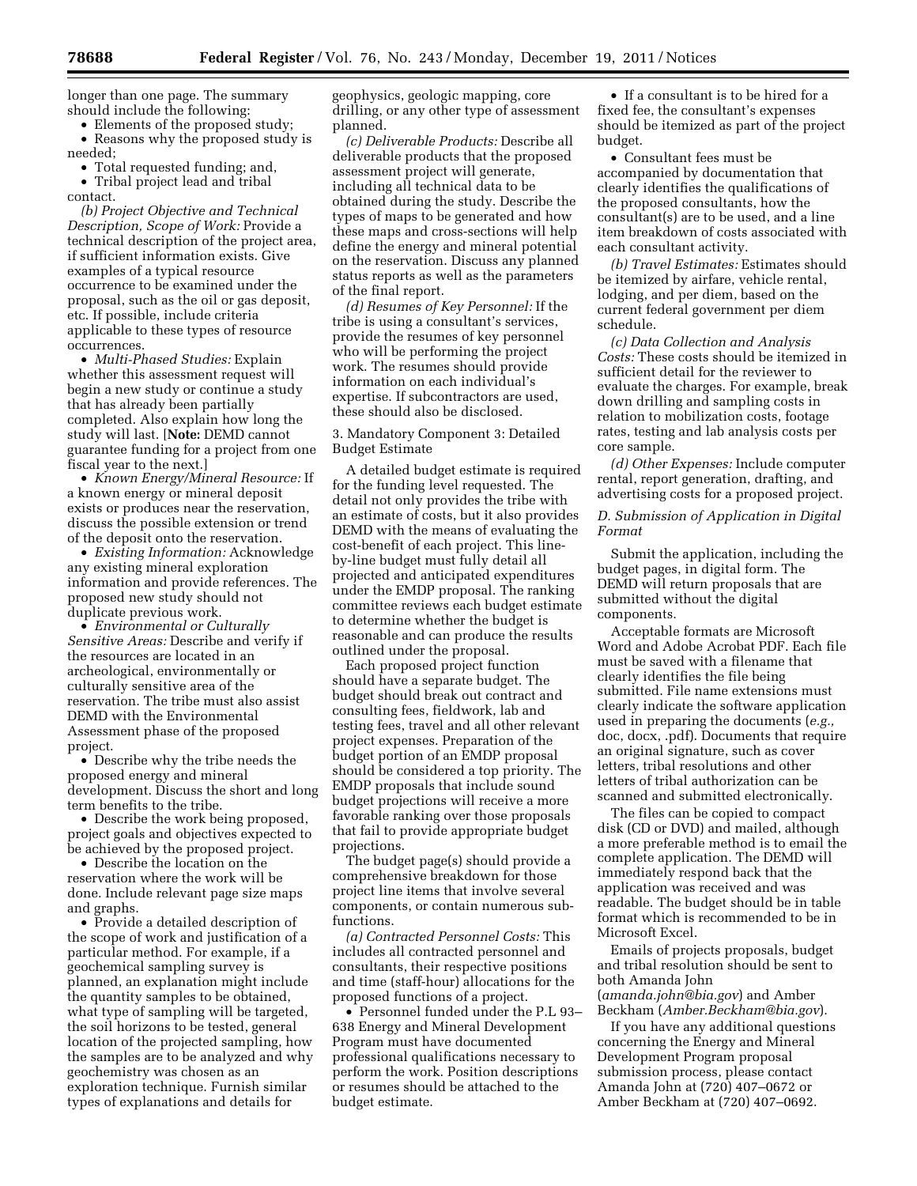longer than one page. The summary should include the following:

• Elements of the proposed study; • Reasons why the proposed study is needed;

• Total requested funding; and,

• Tribal project lead and tribal contact.

*(b) Project Objective and Technical Description, Scope of Work:* Provide a technical description of the project area, if sufficient information exists. Give examples of a typical resource occurrence to be examined under the proposal, such as the oil or gas deposit, etc. If possible, include criteria applicable to these types of resource occurrences.

• *Multi-Phased Studies:* Explain whether this assessment request will begin a new study or continue a study that has already been partially completed. Also explain how long the study will last. [**Note:** DEMD cannot guarantee funding for a project from one fiscal year to the next.]

• *Known Energy/Mineral Resource:* If a known energy or mineral deposit exists or produces near the reservation, discuss the possible extension or trend of the deposit onto the reservation.

• *Existing Information:* Acknowledge any existing mineral exploration information and provide references. The proposed new study should not duplicate previous work.

• *Environmental or Culturally Sensitive Areas:* Describe and verify if the resources are located in an archeological, environmentally or culturally sensitive area of the reservation. The tribe must also assist DEMD with the Environmental Assessment phase of the proposed project.

• Describe why the tribe needs the proposed energy and mineral development. Discuss the short and long term benefits to the tribe.

• Describe the work being proposed, project goals and objectives expected to be achieved by the proposed project.

• Describe the location on the reservation where the work will be done. Include relevant page size maps and graphs.

• Provide a detailed description of the scope of work and justification of a particular method. For example, if a geochemical sampling survey is planned, an explanation might include the quantity samples to be obtained, what type of sampling will be targeted, the soil horizons to be tested, general location of the projected sampling, how the samples are to be analyzed and why geochemistry was chosen as an exploration technique. Furnish similar types of explanations and details for

geophysics, geologic mapping, core drilling, or any other type of assessment planned.

*(c) Deliverable Products:* Describe all deliverable products that the proposed assessment project will generate, including all technical data to be obtained during the study. Describe the types of maps to be generated and how these maps and cross-sections will help define the energy and mineral potential on the reservation. Discuss any planned status reports as well as the parameters of the final report.

*(d) Resumes of Key Personnel:* If the tribe is using a consultant's services, provide the resumes of key personnel who will be performing the project work. The resumes should provide information on each individual's expertise. If subcontractors are used, these should also be disclosed.

# 3. Mandatory Component 3: Detailed Budget Estimate

A detailed budget estimate is required for the funding level requested. The detail not only provides the tribe with an estimate of costs, but it also provides DEMD with the means of evaluating the cost-benefit of each project. This lineby-line budget must fully detail all projected and anticipated expenditures under the EMDP proposal. The ranking committee reviews each budget estimate to determine whether the budget is reasonable and can produce the results outlined under the proposal.

Each proposed project function should have a separate budget. The budget should break out contract and consulting fees, fieldwork, lab and testing fees, travel and all other relevant project expenses. Preparation of the budget portion of an EMDP proposal should be considered a top priority. The EMDP proposals that include sound budget projections will receive a more favorable ranking over those proposals that fail to provide appropriate budget projections.

The budget page(s) should provide a comprehensive breakdown for those project line items that involve several components, or contain numerous subfunctions.

*(a) Contracted Personnel Costs:* This includes all contracted personnel and consultants, their respective positions and time (staff-hour) allocations for the proposed functions of a project.

• Personnel funded under the P.L 93– 638 Energy and Mineral Development Program must have documented professional qualifications necessary to perform the work. Position descriptions or resumes should be attached to the budget estimate.

• If a consultant is to be hired for a fixed fee, the consultant's expenses should be itemized as part of the project budget.

• Consultant fees must be accompanied by documentation that clearly identifies the qualifications of the proposed consultants, how the consultant(s) are to be used, and a line item breakdown of costs associated with each consultant activity.

*(b) Travel Estimates:* Estimates should be itemized by airfare, vehicle rental, lodging, and per diem, based on the current federal government per diem schedule.

*(c) Data Collection and Analysis Costs:* These costs should be itemized in sufficient detail for the reviewer to evaluate the charges. For example, break down drilling and sampling costs in relation to mobilization costs, footage rates, testing and lab analysis costs per core sample.

*(d) Other Expenses:* Include computer rental, report generation, drafting, and advertising costs for a proposed project.

## *D. Submission of Application in Digital Format*

Submit the application, including the budget pages, in digital form. The DEMD will return proposals that are submitted without the digital components.

Acceptable formats are Microsoft Word and Adobe Acrobat PDF. Each file must be saved with a filename that clearly identifies the file being submitted. File name extensions must clearly indicate the software application used in preparing the documents (*e.g.,*  doc, docx, .pdf). Documents that require an original signature, such as cover letters, tribal resolutions and other letters of tribal authorization can be scanned and submitted electronically.

The files can be copied to compact disk (CD or DVD) and mailed, although a more preferable method is to email the complete application. The DEMD will immediately respond back that the application was received and was readable. The budget should be in table format which is recommended to be in Microsoft Excel.

Emails of projects proposals, budget and tribal resolution should be sent to both Amanda John (*[amanda.john@bia.gov](mailto:amanda.john@bia.gov)*) and Amber

Beckham (*[Amber.Beckham@bia.gov](mailto:Amber.Beckham@bia.gov)*). If you have any additional questions concerning the Energy and Mineral Development Program proposal submission process, please contact Amanda John at (720) 407–0672 or Amber Beckham at (720) 407–0692.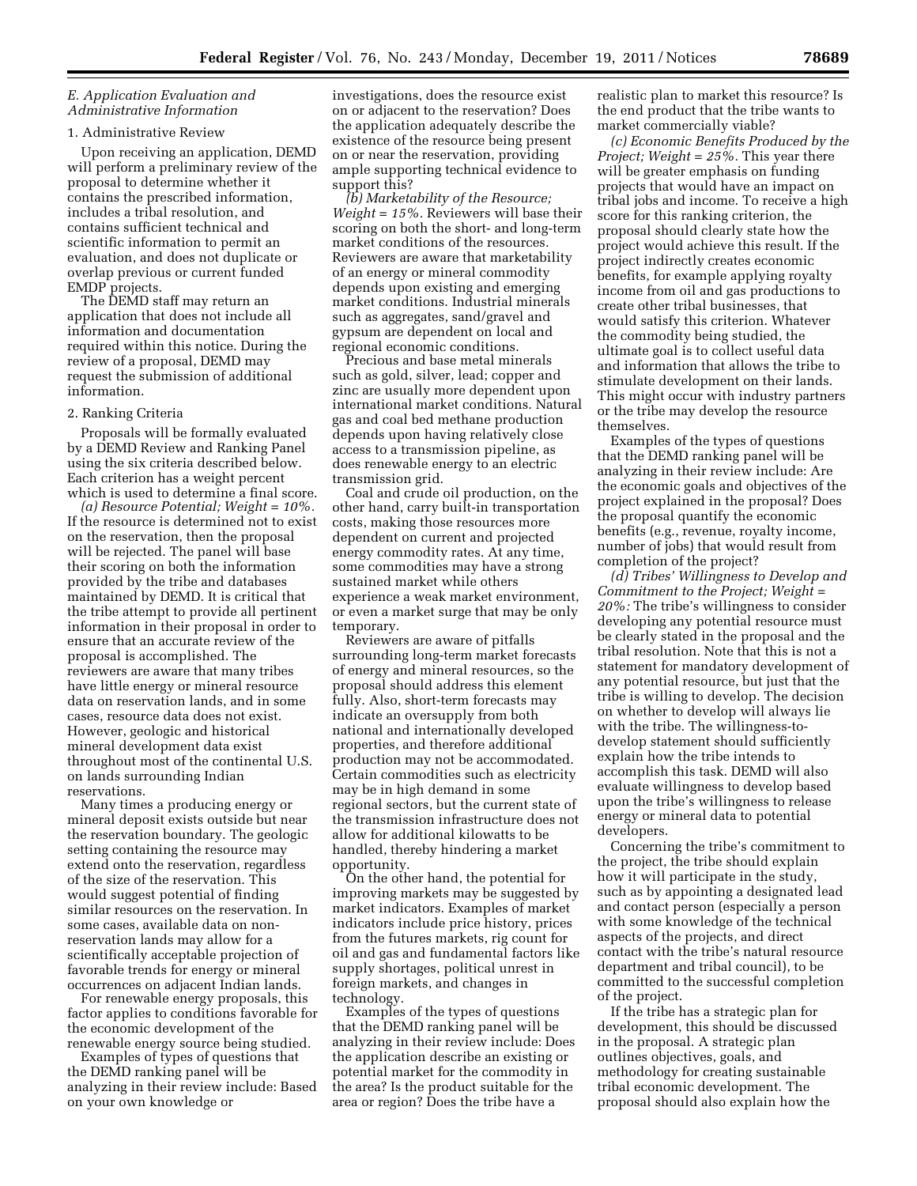## *E. Application Evaluation and Administrative Information*

#### 1. Administrative Review

Upon receiving an application, DEMD will perform a preliminary review of the proposal to determine whether it contains the prescribed information, includes a tribal resolution, and contains sufficient technical and scientific information to permit an evaluation, and does not duplicate or overlap previous or current funded EMDP projects.

The DEMD staff may return an application that does not include all information and documentation required within this notice. During the review of a proposal, DEMD may request the submission of additional information.

#### 2. Ranking Criteria

Proposals will be formally evaluated by a DEMD Review and Ranking Panel using the six criteria described below. Each criterion has a weight percent which is used to determine a final score.

*(a) Resource Potential; Weight = 10%.*  If the resource is determined not to exist on the reservation, then the proposal will be rejected. The panel will base their scoring on both the information provided by the tribe and databases maintained by DEMD. It is critical that the tribe attempt to provide all pertinent information in their proposal in order to ensure that an accurate review of the proposal is accomplished. The reviewers are aware that many tribes have little energy or mineral resource data on reservation lands, and in some cases, resource data does not exist. However, geologic and historical mineral development data exist throughout most of the continental U.S. on lands surrounding Indian reservations.

Many times a producing energy or mineral deposit exists outside but near the reservation boundary. The geologic setting containing the resource may extend onto the reservation, regardless of the size of the reservation. This would suggest potential of finding similar resources on the reservation. In some cases, available data on nonreservation lands may allow for a scientifically acceptable projection of favorable trends for energy or mineral occurrences on adjacent Indian lands.

For renewable energy proposals, this factor applies to conditions favorable for the economic development of the renewable energy source being studied.

Examples of types of questions that the DEMD ranking panel will be analyzing in their review include: Based on your own knowledge or

investigations, does the resource exist on or adjacent to the reservation? Does the application adequately describe the existence of the resource being present on or near the reservation, providing ample supporting technical evidence to support this?

*(b) Marketability of the Resource; Weight = 15%.* Reviewers will base their scoring on both the short- and long-term market conditions of the resources. Reviewers are aware that marketability of an energy or mineral commodity depends upon existing and emerging market conditions. Industrial minerals such as aggregates, sand/gravel and gypsum are dependent on local and regional economic conditions.

Precious and base metal minerals such as gold, silver, lead; copper and zinc are usually more dependent upon international market conditions. Natural gas and coal bed methane production depends upon having relatively close access to a transmission pipeline, as does renewable energy to an electric transmission grid.

Coal and crude oil production, on the other hand, carry built-in transportation costs, making those resources more dependent on current and projected energy commodity rates. At any time, some commodities may have a strong sustained market while others experience a weak market environment, or even a market surge that may be only temporary.

Reviewers are aware of pitfalls surrounding long-term market forecasts of energy and mineral resources, so the proposal should address this element fully. Also, short-term forecasts may indicate an oversupply from both national and internationally developed properties, and therefore additional production may not be accommodated. Certain commodities such as electricity may be in high demand in some regional sectors, but the current state of the transmission infrastructure does not allow for additional kilowatts to be handled, thereby hindering a market opportunity.

On the other hand, the potential for improving markets may be suggested by market indicators. Examples of market indicators include price history, prices from the futures markets, rig count for oil and gas and fundamental factors like supply shortages, political unrest in foreign markets, and changes in technology.

Examples of the types of questions that the DEMD ranking panel will be analyzing in their review include: Does the application describe an existing or potential market for the commodity in the area? Is the product suitable for the area or region? Does the tribe have a

realistic plan to market this resource? Is the end product that the tribe wants to market commercially viable?

*(c) Economic Benefits Produced by the Project; Weight = 25%.* This year there will be greater emphasis on funding projects that would have an impact on tribal jobs and income. To receive a high score for this ranking criterion, the proposal should clearly state how the project would achieve this result. If the project indirectly creates economic benefits, for example applying royalty income from oil and gas productions to create other tribal businesses, that would satisfy this criterion. Whatever the commodity being studied, the ultimate goal is to collect useful data and information that allows the tribe to stimulate development on their lands. This might occur with industry partners or the tribe may develop the resource themselves.

Examples of the types of questions that the DEMD ranking panel will be analyzing in their review include: Are the economic goals and objectives of the project explained in the proposal? Does the proposal quantify the economic benefits (e.g., revenue, royalty income, number of jobs) that would result from completion of the project?

*(d) Tribes' Willingness to Develop and Commitment to the Project; Weight = 20%:* The tribe's willingness to consider developing any potential resource must be clearly stated in the proposal and the tribal resolution. Note that this is not a statement for mandatory development of any potential resource, but just that the tribe is willing to develop. The decision on whether to develop will always lie with the tribe. The willingness-todevelop statement should sufficiently explain how the tribe intends to accomplish this task. DEMD will also evaluate willingness to develop based upon the tribe's willingness to release energy or mineral data to potential developers.

Concerning the tribe's commitment to the project, the tribe should explain how it will participate in the study, such as by appointing a designated lead and contact person (especially a person with some knowledge of the technical aspects of the projects, and direct contact with the tribe's natural resource department and tribal council), to be committed to the successful completion of the project.

If the tribe has a strategic plan for development, this should be discussed in the proposal. A strategic plan outlines objectives, goals, and methodology for creating sustainable tribal economic development. The proposal should also explain how the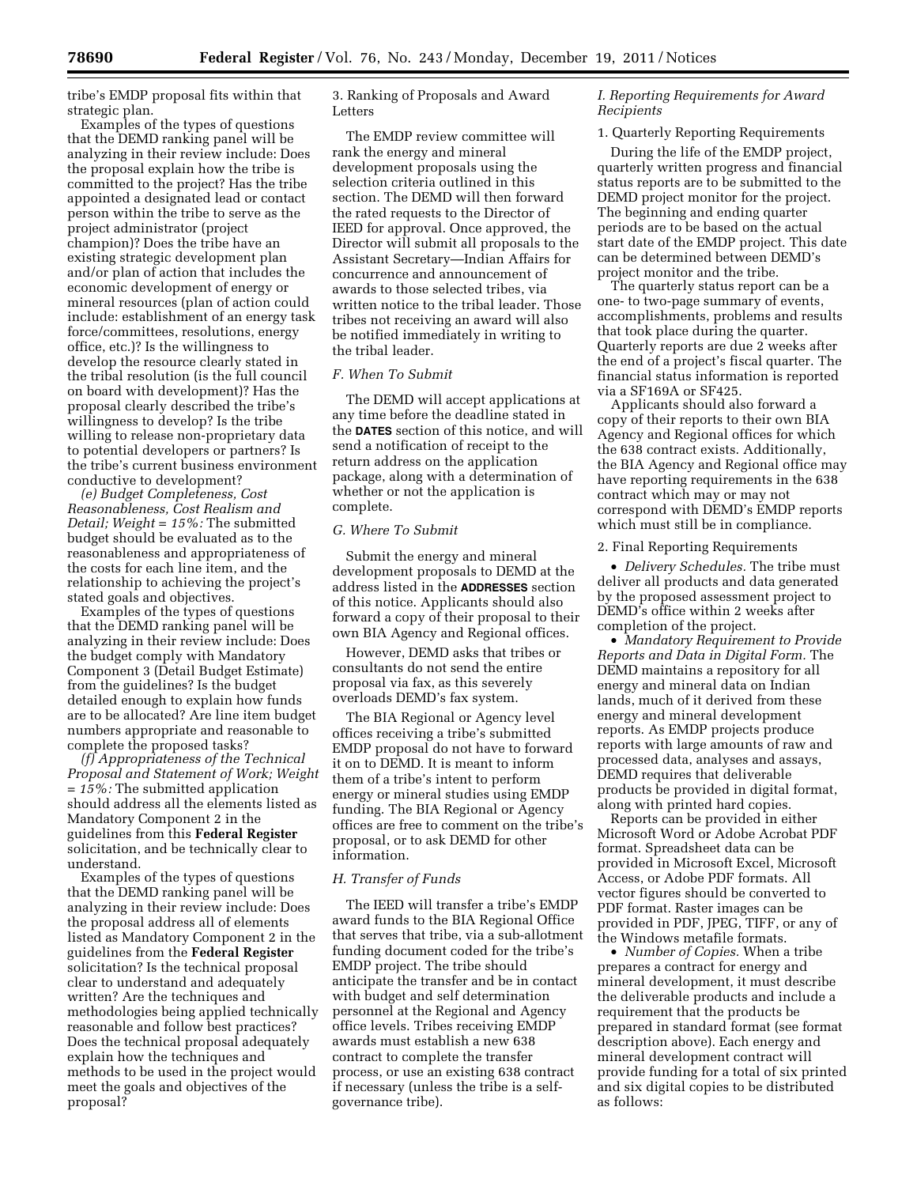tribe's EMDP proposal fits within that strategic plan.

Examples of the types of questions that the DEMD ranking panel will be analyzing in their review include: Does the proposal explain how the tribe is committed to the project? Has the tribe appointed a designated lead or contact person within the tribe to serve as the project administrator (project champion)? Does the tribe have an existing strategic development plan and/or plan of action that includes the economic development of energy or mineral resources (plan of action could include: establishment of an energy task force/committees, resolutions, energy office, etc.)? Is the willingness to develop the resource clearly stated in the tribal resolution (is the full council on board with development)? Has the proposal clearly described the tribe's willingness to develop? Is the tribe willing to release non-proprietary data to potential developers or partners? Is the tribe's current business environment conductive to development?

*(e) Budget Completeness, Cost Reasonableness, Cost Realism and Detail; Weight = 15%:* The submitted budget should be evaluated as to the reasonableness and appropriateness of the costs for each line item, and the relationship to achieving the project's stated goals and objectives.

Examples of the types of questions that the DEMD ranking panel will be analyzing in their review include: Does the budget comply with Mandatory Component 3 (Detail Budget Estimate) from the guidelines? Is the budget detailed enough to explain how funds are to be allocated? Are line item budget numbers appropriate and reasonable to complete the proposed tasks?

*(f) Appropriateness of the Technical Proposal and Statement of Work; Weight = 15%:* The submitted application should address all the elements listed as Mandatory Component 2 in the guidelines from this **Federal Register**  solicitation, and be technically clear to understand.

Examples of the types of questions that the DEMD ranking panel will be analyzing in their review include: Does the proposal address all of elements listed as Mandatory Component 2 in the guidelines from the **Federal Register**  solicitation? Is the technical proposal clear to understand and adequately written? Are the techniques and methodologies being applied technically reasonable and follow best practices? Does the technical proposal adequately explain how the techniques and methods to be used in the project would meet the goals and objectives of the proposal?

3. Ranking of Proposals and Award Letters

The EMDP review committee will rank the energy and mineral development proposals using the selection criteria outlined in this section. The DEMD will then forward the rated requests to the Director of IEED for approval. Once approved, the Director will submit all proposals to the Assistant Secretary—Indian Affairs for concurrence and announcement of awards to those selected tribes, via written notice to the tribal leader. Those tribes not receiving an award will also be notified immediately in writing to the tribal leader.

## *F. When To Submit*

The DEMD will accept applications at any time before the deadline stated in the **DATES** section of this notice, and will send a notification of receipt to the return address on the application package, along with a determination of whether or not the application is complete.

# *G. Where To Submit*

Submit the energy and mineral development proposals to DEMD at the address listed in the **ADDRESSES** section of this notice. Applicants should also forward a copy of their proposal to their own BIA Agency and Regional offices.

However, DEMD asks that tribes or consultants do not send the entire proposal via fax, as this severely overloads DEMD's fax system.

The BIA Regional or Agency level offices receiving a tribe's submitted EMDP proposal do not have to forward it on to DEMD. It is meant to inform them of a tribe's intent to perform energy or mineral studies using EMDP funding. The BIA Regional or Agency offices are free to comment on the tribe's proposal, or to ask DEMD for other information.

# *H. Transfer of Funds*

The IEED will transfer a tribe's EMDP award funds to the BIA Regional Office that serves that tribe, via a sub-allotment funding document coded for the tribe's EMDP project. The tribe should anticipate the transfer and be in contact with budget and self determination personnel at the Regional and Agency office levels. Tribes receiving EMDP awards must establish a new 638 contract to complete the transfer process, or use an existing 638 contract if necessary (unless the tribe is a selfgovernance tribe).

# *I. Reporting Requirements for Award Recipients*

# 1. Quarterly Reporting Requirements

During the life of the EMDP project, quarterly written progress and financial status reports are to be submitted to the DEMD project monitor for the project. The beginning and ending quarter periods are to be based on the actual start date of the EMDP project. This date can be determined between DEMD's project monitor and the tribe.

The quarterly status report can be a one- to two-page summary of events, accomplishments, problems and results that took place during the quarter. Quarterly reports are due 2 weeks after the end of a project's fiscal quarter. The financial status information is reported via a SF169A or SF425.

Applicants should also forward a copy of their reports to their own BIA Agency and Regional offices for which the 638 contract exists. Additionally, the BIA Agency and Regional office may have reporting requirements in the 638 contract which may or may not correspond with DEMD's EMDP reports which must still be in compliance.

## 2. Final Reporting Requirements

• *Delivery Schedules.* The tribe must deliver all products and data generated by the proposed assessment project to DEMD's office within 2 weeks after completion of the project.

• *Mandatory Requirement to Provide Reports and Data in Digital Form.* The DEMD maintains a repository for all energy and mineral data on Indian lands, much of it derived from these energy and mineral development reports. As EMDP projects produce reports with large amounts of raw and processed data, analyses and assays, DEMD requires that deliverable products be provided in digital format, along with printed hard copies.

Reports can be provided in either Microsoft Word or Adobe Acrobat PDF format. Spreadsheet data can be provided in Microsoft Excel, Microsoft Access, or Adobe PDF formats. All vector figures should be converted to PDF format. Raster images can be provided in PDF, JPEG, TIFF, or any of the Windows metafile formats.

• *Number of Copies.* When a tribe prepares a contract for energy and mineral development, it must describe the deliverable products and include a requirement that the products be prepared in standard format (see format description above). Each energy and mineral development contract will provide funding for a total of six printed and six digital copies to be distributed as follows: